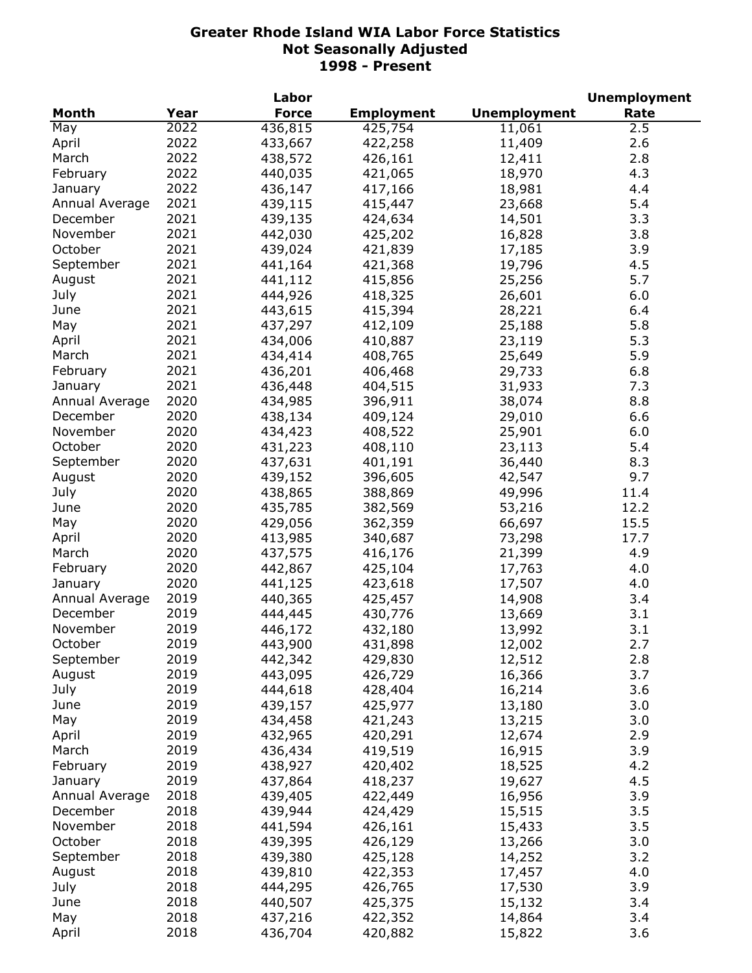|                |      | Labor        |                    |                     | <b>Unemployment</b> |
|----------------|------|--------------|--------------------|---------------------|---------------------|
| Month          | Year | <b>Force</b> | <b>Employment</b>  | <b>Unemployment</b> | Rate                |
| May            | 2022 | 436,815      | 425,754            | 11,061              | 2.5                 |
| April          | 2022 | 433,667      | 422,258            | 11,409              | 2.6                 |
| March          | 2022 | 438,572      | 426,161            | 12,411              | 2.8                 |
| February       | 2022 | 440,035      | 421,065            | 18,970              | 4.3                 |
| January        | 2022 | 436,147      | 417,166            | 18,981              | 4.4                 |
| Annual Average | 2021 | 439,115      | 415,447            | 23,668              | 5.4                 |
| December       | 2021 | 439,135      | 424,634            | 14,501              | 3.3                 |
| November       | 2021 | 442,030      | 425,202            | 16,828              | 3.8                 |
| October        | 2021 | 439,024      | 421,839            | 17,185              | 3.9                 |
| September      | 2021 | 441,164      | 421,368            | 19,796              | 4.5                 |
| August         | 2021 | 441,112      | 415,856            | 25,256              | 5.7                 |
| July           | 2021 | 444,926      | 418,325            | 26,601              | 6.0                 |
| June           | 2021 | 443,615      | 415,394            | 28,221              | 6.4                 |
| May            | 2021 | 437,297      | 412,109            | 25,188              | 5.8                 |
| April          | 2021 | 434,006      | 410,887            |                     | 5.3                 |
|                | 2021 |              |                    | 23,119              | 5.9                 |
| March          |      | 434,414      | 408,765            | 25,649              |                     |
| February       | 2021 | 436,201      | 406,468            | 29,733              | 6.8                 |
| January        | 2021 | 436,448      | 404,515            | 31,933              | 7.3                 |
| Annual Average | 2020 | 434,985      | 396,911            | 38,074              | 8.8                 |
| December       | 2020 | 438,134      | 409,124            | 29,010              | 6.6                 |
| November       | 2020 | 434,423      | 408,522            | 25,901              | 6.0                 |
| October        | 2020 | 431,223      | 408,110            | 23,113              | 5.4                 |
| September      | 2020 | 437,631      | 401,191            | 36,440              | 8.3                 |
| August         | 2020 | 439,152      | 396,605            | 42,547              | 9.7                 |
| July           | 2020 | 438,865      | 388,869            | 49,996              | 11.4                |
| June           | 2020 | 435,785      | 382,569            | 53,216              | 12.2                |
| May            | 2020 | 429,056      | 362,359            | 66,697              | 15.5                |
| April          | 2020 | 413,985      | 340,687            | 73,298              | 17.7                |
| March          | 2020 | 437,575      | 416,176            | 21,399              | 4.9                 |
| February       | 2020 | 442,867      | 425,104            | 17,763              | 4.0                 |
| January        | 2020 | 441,125      | 423,618            | 17,507              | 4.0                 |
| Annual Average | 2019 | 440,365      | 425,457            | 14,908              | 3.4                 |
| December       | 2019 | 444,445      | 430,776            | 13,669              | 3.1                 |
| November       | 2019 | 446,172      | 432,180            | 13,992              | 3.1                 |
| October        | 2019 | 443,900      | 431,898            | 12,002              | 2.7                 |
| September      | 2019 | 442,342      | 429,830            | 12,512              | 2.8                 |
| August         | 2019 | 443,095      | 426,729            | 16,366              | 3.7                 |
| July           | 2019 | 444,618      | 428,404            | 16,214              | 3.6                 |
| June           | 2019 | 439,157      | 425,977            | 13,180              | 3.0                 |
| May            | 2019 | 434,458      | 421,243            | 13,215              | 3.0                 |
| April          | 2019 | 432,965      | 420,291            | 12,674              | 2.9                 |
| March          | 2019 | 436,434      | 419,519            | 16,915              | 3.9                 |
| February       | 2019 | 438,927      | 420,402            | 18,525              | 4.2                 |
| January        | 2019 | 437,864      | 418,237            | 19,627              | 4.5                 |
| Annual Average | 2018 | 439,405      | 422,449            | 16,956              | 3.9                 |
| December       | 2018 | 439,944      | 424,429            | 15,515              | 3.5                 |
| November       | 2018 | 441,594      | 426,161            | 15,433              | 3.5                 |
| October        | 2018 | 439,395      | 426,129            | 13,266              | 3.0                 |
| September      | 2018 | 439,380      |                    |                     | 3.2                 |
| August         | 2018 | 439,810      | 425,128<br>422,353 | 14,252              | 4.0                 |
|                | 2018 |              |                    | 17,457              | 3.9                 |
| July           |      | 444,295      | 426,765            | 17,530              |                     |
| June           | 2018 | 440,507      | 425,375            | 15,132              | 3.4                 |
| May            | 2018 | 437,216      | 422,352            | 14,864              | 3.4                 |
| April          | 2018 | 436,704      | 420,882            | 15,822              | 3.6                 |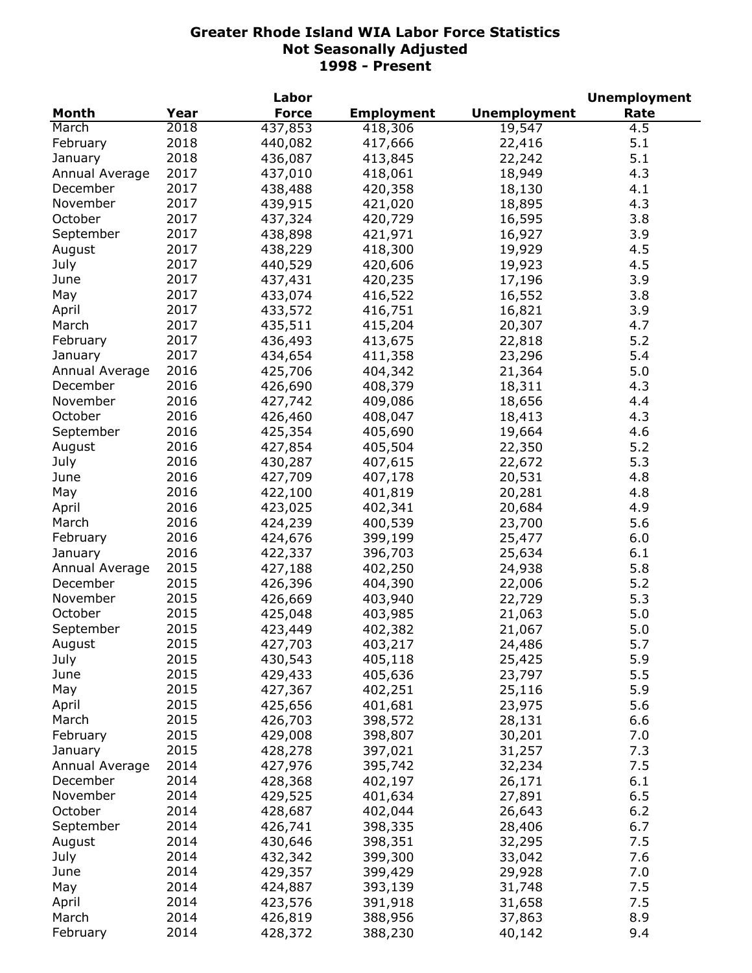|                |      | Labor        |                   |                     | <b>Unemployment</b> |
|----------------|------|--------------|-------------------|---------------------|---------------------|
| Month          | Year | <b>Force</b> | <b>Employment</b> | <b>Unemployment</b> | Rate                |
| March          | 2018 | 437,853      | 418,306           | 19,547              | 4.5                 |
| February       | 2018 | 440,082      | 417,666           | 22,416              | 5.1                 |
| January        | 2018 | 436,087      | 413,845           | 22,242              | 5.1                 |
| Annual Average | 2017 | 437,010      | 418,061           | 18,949              | 4.3                 |
| December       | 2017 | 438,488      | 420,358           | 18,130              | 4.1                 |
| November       | 2017 | 439,915      | 421,020           | 18,895              | 4.3                 |
| October        | 2017 | 437,324      | 420,729           | 16,595              | 3.8                 |
| September      | 2017 | 438,898      | 421,971           | 16,927              | 3.9                 |
| August         | 2017 | 438,229      | 418,300           | 19,929              | 4.5                 |
| July           | 2017 | 440,529      | 420,606           | 19,923              | 4.5                 |
| June           | 2017 | 437,431      | 420,235           | 17,196              | 3.9                 |
| May            | 2017 | 433,074      | 416,522           | 16,552              | 3.8                 |
| April          | 2017 | 433,572      | 416,751           | 16,821              | 3.9                 |
| March          | 2017 | 435,511      | 415,204           | 20,307              | 4.7                 |
| February       | 2017 | 436,493      | 413,675           | 22,818              | 5.2                 |
| January        | 2017 | 434,654      | 411,358           | 23,296              | 5.4                 |
| Annual Average | 2016 | 425,706      | 404,342           | 21,364              | 5.0                 |
| December       | 2016 | 426,690      | 408,379           | 18,311              | 4.3                 |
| November       | 2016 |              |                   |                     |                     |
|                |      | 427,742      | 409,086           | 18,656              | 4.4                 |
| October        | 2016 | 426,460      | 408,047           | 18,413              | 4.3                 |
| September      | 2016 | 425,354      | 405,690           | 19,664              | 4.6                 |
| August         | 2016 | 427,854      | 405,504           | 22,350              | 5.2                 |
| July           | 2016 | 430,287      | 407,615           | 22,672              | 5.3                 |
| June           | 2016 | 427,709      | 407,178           | 20,531              | 4.8                 |
| May            | 2016 | 422,100      | 401,819           | 20,281              | 4.8                 |
| April          | 2016 | 423,025      | 402,341           | 20,684              | 4.9                 |
| March          | 2016 | 424,239      | 400,539           | 23,700              | 5.6                 |
| February       | 2016 | 424,676      | 399,199           | 25,477              | 6.0                 |
| January        | 2016 | 422,337      | 396,703           | 25,634              | 6.1                 |
| Annual Average | 2015 | 427,188      | 402,250           | 24,938              | 5.8                 |
| December       | 2015 | 426,396      | 404,390           | 22,006              | 5.2                 |
| November       | 2015 | 426,669      | 403,940           | 22,729              | 5.3                 |
| October        | 2015 | 425,048      | 403,985           | 21,063              | 5.0                 |
| September      | 2015 | 423,449      | 402,382           | 21,067              | 5.0                 |
| August         | 2015 | 427,703      | 403,217           | 24,486              | 5.7                 |
| July           | 2015 | 430,543      | 405,118           | 25,425              | 5.9                 |
| June           | 2015 | 429,433      | 405,636           | 23,797              | 5.5                 |
| May            | 2015 | 427,367      | 402,251           | 25,116              | 5.9                 |
| April          | 2015 | 425,656      | 401,681           | 23,975              | 5.6                 |
| March          | 2015 | 426,703      | 398,572           | 28,131              | 6.6                 |
| February       | 2015 | 429,008      | 398,807           | 30,201              | 7.0                 |
| January        | 2015 | 428,278      | 397,021           | 31,257              | 7.3                 |
| Annual Average | 2014 | 427,976      | 395,742           | 32,234              | 7.5                 |
| December       | 2014 | 428,368      | 402,197           | 26,171              | 6.1                 |
| November       | 2014 | 429,525      | 401,634           | 27,891              | 6.5                 |
| October        | 2014 | 428,687      | 402,044           | 26,643              | 6.2                 |
| September      | 2014 | 426,741      | 398,335           | 28,406              | 6.7                 |
| August         | 2014 | 430,646      | 398,351           | 32,295              | 7.5                 |
|                | 2014 |              |                   |                     | 7.6                 |
| July           |      | 432,342      | 399,300           | 33,042              |                     |
| June           | 2014 | 429,357      | 399,429           | 29,928              | 7.0                 |
| May            | 2014 | 424,887      | 393,139           | 31,748              | 7.5                 |
| April          | 2014 | 423,576      | 391,918           | 31,658              | 7.5                 |
| March          | 2014 | 426,819      | 388,956           | 37,863              | 8.9                 |
| February       | 2014 | 428,372      | 388,230           | 40,142              | 9.4                 |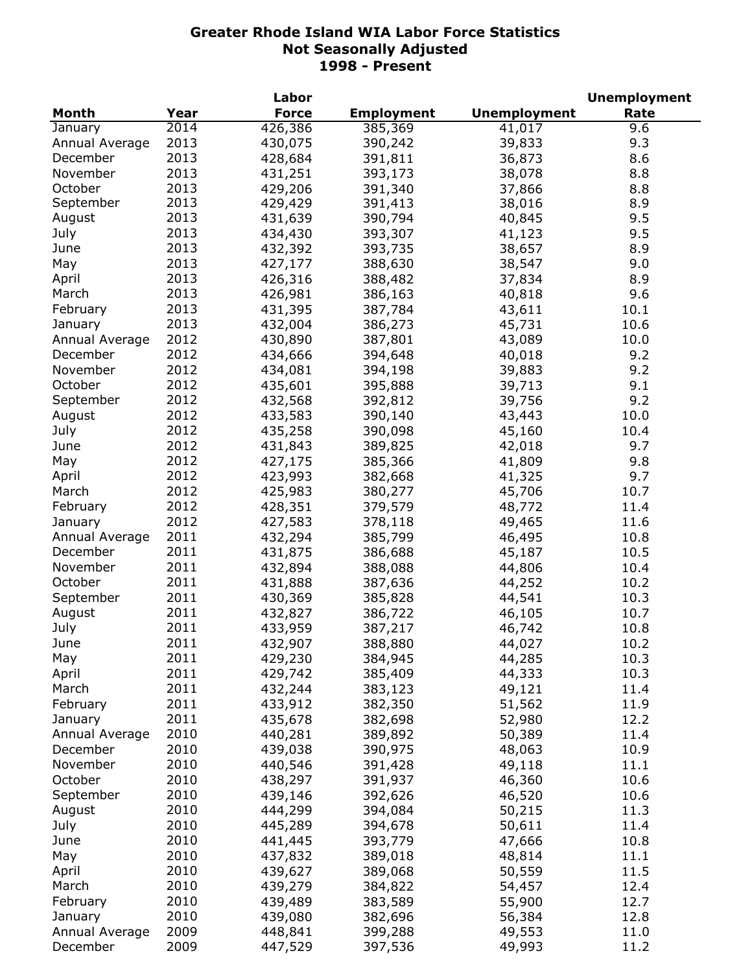|                |      | Labor        |                   |                     | <b>Unemployment</b> |
|----------------|------|--------------|-------------------|---------------------|---------------------|
| Month          | Year | <b>Force</b> | <b>Employment</b> | <b>Unemployment</b> | Rate                |
| January        | 2014 | 426,386      | 385,369           | 41,017              | 9.6                 |
| Annual Average | 2013 | 430,075      | 390,242           | 39,833              | 9.3                 |
| December       | 2013 | 428,684      | 391,811           | 36,873              | 8.6                 |
| November       | 2013 | 431,251      | 393,173           | 38,078              | 8.8                 |
| October        | 2013 | 429,206      | 391,340           | 37,866              | 8.8                 |
| September      | 2013 | 429,429      | 391,413           | 38,016              | 8.9                 |
| August         | 2013 | 431,639      | 390,794           | 40,845              | 9.5                 |
| July           | 2013 | 434,430      | 393,307           | 41,123              | 9.5                 |
| June           | 2013 | 432,392      | 393,735           | 38,657              | 8.9                 |
| May            | 2013 | 427,177      | 388,630           | 38,547              | 9.0                 |
| April          | 2013 | 426,316      | 388,482           | 37,834              | 8.9                 |
| March          | 2013 | 426,981      | 386,163           | 40,818              | 9.6                 |
| February       | 2013 | 431,395      | 387,784           | 43,611              | 10.1                |
| January        | 2013 | 432,004      | 386,273           | 45,731              | 10.6                |
| Annual Average | 2012 | 430,890      | 387,801           | 43,089              | 10.0                |
| December       | 2012 | 434,666      | 394,648           | 40,018              | 9.2                 |
| November       | 2012 | 434,081      | 394,198           | 39,883              | 9.2                 |
| October        | 2012 | 435,601      | 395,888           | 39,713              | 9.1                 |
| September      | 2012 | 432,568      | 392,812           | 39,756              | 9.2                 |
| August         | 2012 | 433,583      | 390,140           | 43,443              | 10.0                |
| July           | 2012 | 435,258      | 390,098           | 45,160              | 10.4                |
| June           | 2012 |              | 389,825           | 42,018              | 9.7                 |
|                | 2012 | 431,843      |                   |                     |                     |
| May            |      | 427,175      | 385,366           | 41,809              | 9.8                 |
| April          | 2012 | 423,993      | 382,668           | 41,325              | 9.7                 |
| March          | 2012 | 425,983      | 380,277           | 45,706              | 10.7                |
| February       | 2012 | 428,351      | 379,579           | 48,772              | 11.4                |
| January        | 2012 | 427,583      | 378,118           | 49,465              | 11.6                |
| Annual Average | 2011 | 432,294      | 385,799           | 46,495              | 10.8                |
| December       | 2011 | 431,875      | 386,688           | 45,187              | 10.5                |
| November       | 2011 | 432,894      | 388,088           | 44,806              | 10.4                |
| October        | 2011 | 431,888      | 387,636           | 44,252              | 10.2                |
| September      | 2011 | 430,369      | 385,828           | 44,541              | 10.3                |
| August         | 2011 | 432,827      | 386,722           | 46,105              | 10.7                |
| July           | 2011 | 433,959      | 387,217           | 46,742              | 10.8                |
| June           | 2011 | 432,907      | 388,880           | 44,027              | 10.2                |
| May            | 2011 | 429,230      | 384,945           | 44,285              | 10.3                |
| April          | 2011 | 429,742      | 385,409           | 44,333              | 10.3                |
| March          | 2011 | 432,244      | 383,123           | 49,121              | 11.4                |
| February       | 2011 | 433,912      | 382,350           | 51,562              | 11.9                |
| January        | 2011 | 435,678      | 382,698           | 52,980              | 12.2                |
| Annual Average | 2010 | 440,281      | 389,892           | 50,389              | 11.4                |
| December       | 2010 | 439,038      | 390,975           | 48,063              | 10.9                |
| November       | 2010 | 440,546      | 391,428           | 49,118              | 11.1                |
| October        | 2010 | 438,297      | 391,937           | 46,360              | 10.6                |
| September      | 2010 | 439,146      | 392,626           | 46,520              | 10.6                |
| August         | 2010 | 444,299      | 394,084           | 50,215              | 11.3                |
| July           | 2010 | 445,289      | 394,678           | 50,611              | 11.4                |
| June           | 2010 | 441,445      | 393,779           | 47,666              | 10.8                |
| May            | 2010 | 437,832      | 389,018           | 48,814              | 11.1                |
| April          | 2010 | 439,627      | 389,068           | 50,559              | 11.5                |
| March          | 2010 | 439,279      | 384,822           | 54,457              | 12.4                |
| February       | 2010 | 439,489      | 383,589           | 55,900              | 12.7                |
| January        | 2010 | 439,080      | 382,696           | 56,384              | 12.8                |
| Annual Average | 2009 | 448,841      | 399,288           | 49,553              | 11.0                |
| December       | 2009 | 447,529      | 397,536           | 49,993              | 11.2                |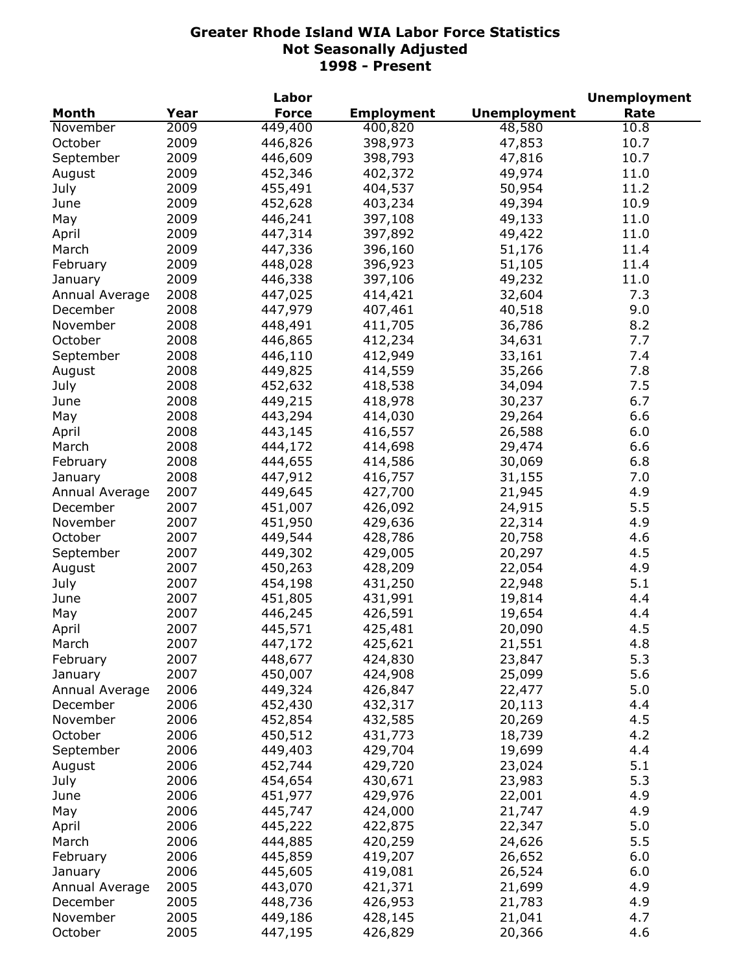|                |      | Labor        |                   |                     | <b>Unemployment</b> |
|----------------|------|--------------|-------------------|---------------------|---------------------|
| Month          | Year | <b>Force</b> | <b>Employment</b> | <b>Unemployment</b> | Rate                |
| November       | 2009 | 449,400      | 400,820           | 48,580              | 10.8                |
| October        | 2009 | 446,826      | 398,973           | 47,853              | 10.7                |
| September      | 2009 | 446,609      | 398,793           | 47,816              | 10.7                |
| August         | 2009 | 452,346      | 402,372           | 49,974              | 11.0                |
| July           | 2009 | 455,491      | 404,537           | 50,954              | 11.2                |
| June           | 2009 | 452,628      | 403,234           | 49,394              | 10.9                |
| May            | 2009 | 446,241      | 397,108           | 49,133              | 11.0                |
| April          | 2009 | 447,314      | 397,892           | 49,422              | 11.0                |
| March          | 2009 | 447,336      | 396,160           | 51,176              | 11.4                |
| February       | 2009 | 448,028      | 396,923           | 51,105              | 11.4                |
| January        | 2009 | 446,338      | 397,106           | 49,232              | 11.0                |
| Annual Average | 2008 | 447,025      | 414,421           | 32,604              | 7.3                 |
| December       | 2008 | 447,979      | 407,461           | 40,518              | 9.0                 |
| November       | 2008 | 448,491      | 411,705           | 36,786              | 8.2                 |
| October        | 2008 | 446,865      | 412,234           | 34,631              | 7.7                 |
| September      | 2008 | 446,110      | 412,949           | 33,161              | 7.4                 |
|                | 2008 | 449,825      | 414,559           | 35,266              | 7.8                 |
| August         | 2008 |              |                   |                     | 7.5                 |
| July           |      | 452,632      | 418,538           | 34,094              |                     |
| June           | 2008 | 449,215      | 418,978           | 30,237              | 6.7                 |
| May            | 2008 | 443,294      | 414,030           | 29,264              | 6.6                 |
| April          | 2008 | 443,145      | 416,557           | 26,588              | 6.0                 |
| March          | 2008 | 444,172      | 414,698           | 29,474              | 6.6                 |
| February       | 2008 | 444,655      | 414,586           | 30,069              | 6.8                 |
| January        | 2008 | 447,912      | 416,757           | 31,155              | 7.0                 |
| Annual Average | 2007 | 449,645      | 427,700           | 21,945              | 4.9                 |
| December       | 2007 | 451,007      | 426,092           | 24,915              | 5.5                 |
| November       | 2007 | 451,950      | 429,636           | 22,314              | 4.9                 |
| October        | 2007 | 449,544      | 428,786           | 20,758              | 4.6                 |
| September      | 2007 | 449,302      | 429,005           | 20,297              | 4.5                 |
| August         | 2007 | 450,263      | 428,209           | 22,054              | 4.9                 |
| July           | 2007 | 454,198      | 431,250           | 22,948              | 5.1                 |
| June           | 2007 | 451,805      | 431,991           | 19,814              | 4.4                 |
| May            | 2007 | 446,245      | 426,591           | 19,654              | 4.4                 |
| April          | 2007 | 445,571      | 425,481           | 20,090              | 4.5                 |
| March          | 2007 | 447,172      | 425,621           | 21,551              | 4.8                 |
| February       | 2007 | 448,677      | 424,830           | 23,847              | 5.3                 |
| January        | 2007 | 450,007      | 424,908           | 25,099              | 5.6                 |
| Annual Average | 2006 | 449,324      | 426,847           | 22,477              | 5.0                 |
| December       | 2006 | 452,430      | 432,317           | 20,113              | 4.4                 |
| November       | 2006 | 452,854      | 432,585           | 20,269              | 4.5                 |
| October        | 2006 | 450,512      | 431,773           | 18,739              | 4.2                 |
| September      | 2006 | 449,403      | 429,704           | 19,699              | 4.4                 |
| August         | 2006 | 452,744      | 429,720           | 23,024              | 5.1                 |
| July           | 2006 | 454,654      | 430,671           | 23,983              | 5.3                 |
| June           | 2006 | 451,977      | 429,976           | 22,001              | 4.9                 |
| May            | 2006 | 445,747      | 424,000           | 21,747              | 4.9                 |
| April          | 2006 | 445,222      | 422,875           | 22,347              | 5.0                 |
| March          | 2006 | 444,885      | 420,259           | 24,626              | 5.5                 |
| February       | 2006 | 445,859      | 419,207           | 26,652              | 6.0                 |
| January        | 2006 | 445,605      | 419,081           | 26,524              | 6.0                 |
| Annual Average | 2005 | 443,070      | 421,371           | 21,699              | 4.9                 |
| December       | 2005 | 448,736      | 426,953           | 21,783              | 4.9                 |
| November       | 2005 | 449,186      | 428,145           | 21,041              | 4.7                 |
| October        | 2005 | 447,195      | 426,829           | 20,366              | 4.6                 |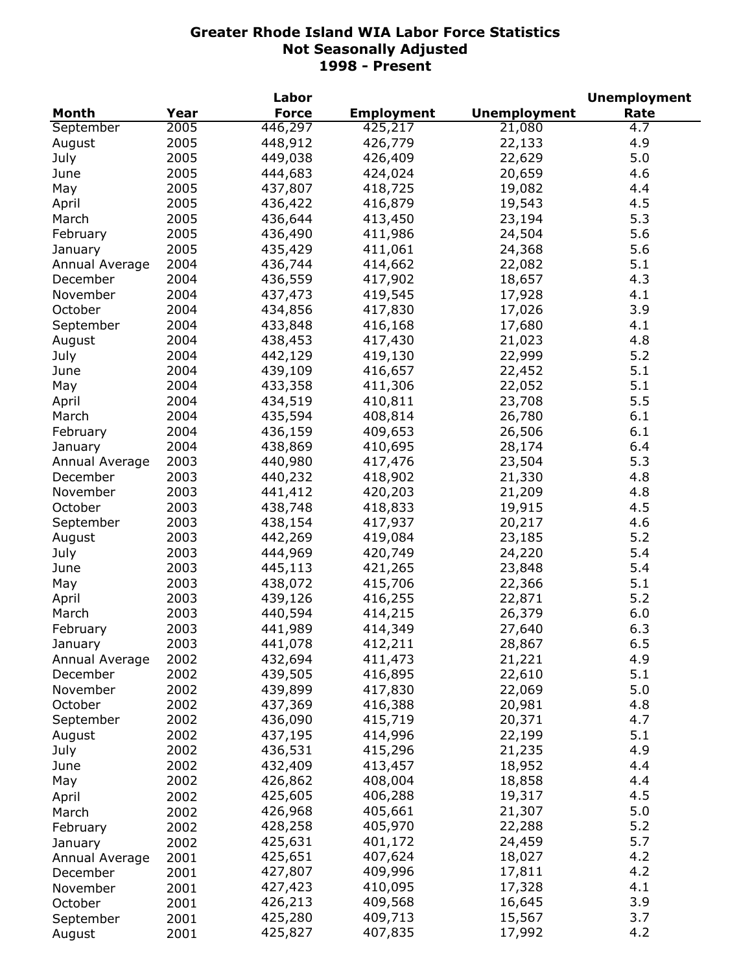|                |      | Labor        |                   |                     | <b>Unemployment</b> |
|----------------|------|--------------|-------------------|---------------------|---------------------|
| Month          | Year | <b>Force</b> | <b>Employment</b> | <b>Unemployment</b> | Rate                |
| September      | 2005 | 446,297      | 425,217           | 21,080              | $\overline{4.7}$    |
| August         | 2005 | 448,912      | 426,779           | 22,133              | 4.9                 |
| July           | 2005 | 449,038      | 426,409           | 22,629              | 5.0                 |
| June           | 2005 | 444,683      | 424,024           | 20,659              | 4.6                 |
| May            | 2005 | 437,807      | 418,725           | 19,082              | 4.4                 |
| April          | 2005 | 436,422      | 416,879           | 19,543              | 4.5                 |
| March          | 2005 | 436,644      | 413,450           | 23,194              | 5.3                 |
| February       | 2005 | 436,490      | 411,986           | 24,504              | 5.6                 |
| January        | 2005 | 435,429      | 411,061           | 24,368              | 5.6                 |
| Annual Average | 2004 | 436,744      | 414,662           | 22,082              | 5.1                 |
| December       | 2004 | 436,559      | 417,902           | 18,657              | 4.3                 |
| November       | 2004 | 437,473      | 419,545           | 17,928              | 4.1                 |
| October        | 2004 | 434,856      | 417,830           | 17,026              | 3.9                 |
| September      | 2004 | 433,848      | 416,168           | 17,680              | 4.1                 |
| August         | 2004 | 438,453      | 417,430           | 21,023              | 4.8                 |
| July           | 2004 | 442,129      | 419,130           | 22,999              | 5.2                 |
| June           | 2004 | 439,109      | 416,657           | 22,452              | 5.1                 |
|                | 2004 |              |                   | 22,052              | 5.1                 |
| May            |      | 433,358      | 411,306           |                     |                     |
| April          | 2004 | 434,519      | 410,811           | 23,708              | 5.5                 |
| March          | 2004 | 435,594      | 408,814           | 26,780              | 6.1                 |
| February       | 2004 | 436,159      | 409,653           | 26,506              | 6.1                 |
| January        | 2004 | 438,869      | 410,695           | 28,174              | 6.4                 |
| Annual Average | 2003 | 440,980      | 417,476           | 23,504              | 5.3                 |
| December       | 2003 | 440,232      | 418,902           | 21,330              | 4.8                 |
| November       | 2003 | 441,412      | 420,203           | 21,209              | 4.8                 |
| October        | 2003 | 438,748      | 418,833           | 19,915              | 4.5                 |
| September      | 2003 | 438,154      | 417,937           | 20,217              | 4.6                 |
| August         | 2003 | 442,269      | 419,084           | 23,185              | 5.2                 |
| July           | 2003 | 444,969      | 420,749           | 24,220              | 5.4                 |
| June           | 2003 | 445,113      | 421,265           | 23,848              | 5.4                 |
| May            | 2003 | 438,072      | 415,706           | 22,366              | 5.1                 |
| April          | 2003 | 439,126      | 416,255           | 22,871              | 5.2                 |
| March          | 2003 | 440,594      | 414,215           | 26,379              | 6.0                 |
| February       | 2003 | 441,989      | 414,349           | 27,640              | 6.3                 |
| January        | 2003 | 441,078      | 412,211           | 28,867              | 6.5                 |
| Annual Average | 2002 | 432,694      | 411,473           | 21,221              | 4.9                 |
| December       | 2002 | 439,505      | 416,895           | 22,610              | 5.1                 |
| November       | 2002 | 439,899      | 417,830           | 22,069              | 5.0                 |
| October        | 2002 | 437,369      | 416,388           | 20,981              | 4.8                 |
| September      | 2002 | 436,090      | 415,719           | 20,371              | 4.7                 |
| August         | 2002 | 437,195      | 414,996           | 22,199              | 5.1                 |
| July           | 2002 | 436,531      | 415,296           | 21,235              | 4.9                 |
| June           | 2002 | 432,409      | 413,457           | 18,952              | 4.4                 |
| May            | 2002 | 426,862      | 408,004           | 18,858              | 4.4                 |
| April          | 2002 | 425,605      | 406,288           | 19,317              | 4.5                 |
| March          | 2002 | 426,968      | 405,661           | 21,307              | 5.0                 |
| February       | 2002 | 428,258      | 405,970           | 22,288              | 5.2                 |
| January        | 2002 | 425,631      | 401,172           | 24,459              | 5.7                 |
| Annual Average | 2001 | 425,651      | 407,624           | 18,027              | 4.2                 |
| December       | 2001 | 427,807      | 409,996           | 17,811              | 4.2                 |
| November       | 2001 | 427,423      | 410,095           | 17,328              | 4.1                 |
| October        | 2001 | 426,213      | 409,568           | 16,645              | 3.9                 |
| September      | 2001 | 425,280      | 409,713           | 15,567              | 3.7                 |
| August         | 2001 | 425,827      | 407,835           | 17,992              | 4.2                 |